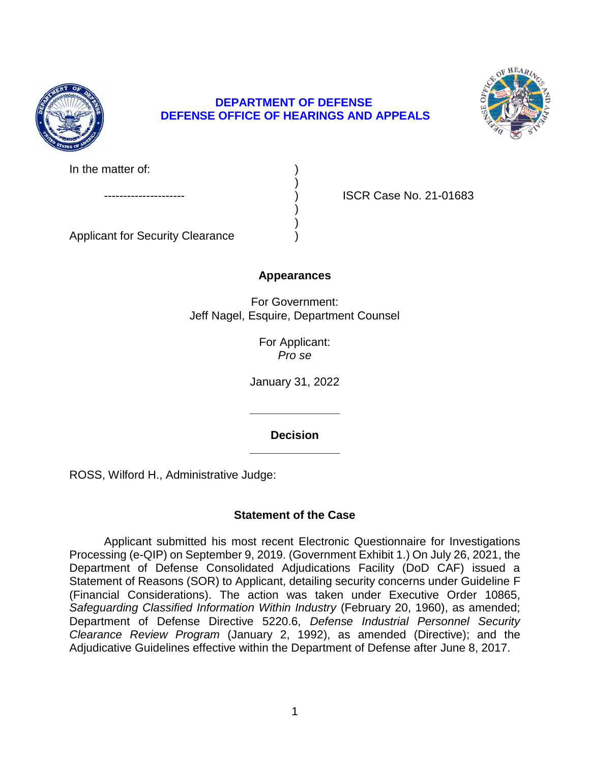

# **DEPARTMENT OF DEFENSE DEFENSE OFFICE OF HEARINGS AND APPEALS**

)

) )



In the matter of:

ISCR Case No. 21-01683

Applicant for Security Clearance )

# **Appearances**

For Government: Jeff Nagel, Esquire, Department Counsel

> For Applicant: *Pro se*

January 31, 2022

**\_\_\_\_\_\_\_\_\_\_\_\_\_\_ Decision** 

**\_\_\_\_\_\_\_\_\_\_\_\_\_\_** 

ROSS, Wilford H., Administrative Judge:

# **Statement of the Case**

 Processing (e-QIP) on September 9, 2019. (Government Exhibit 1.) On July 26, 2021, the Department of Defense Consolidated Adjudications Facility (DoD CAF) issued a Statement of Reasons (SOR) to Applicant, detailing security concerns under Guideline F (Financial Considerations). The action was taken under Executive Order 10865, Safeguarding Classified Information Within Industry (February 20, 1960), as amended; Department of Defense Directive 5220.6, *Defense Industrial Personnel Security Clearance Review Program* (January 2, 1992), as amended (Directive); and the Applicant submitted his most recent Electronic Questionnaire for Investigations Adjudicative Guidelines effective within the Department of Defense after June 8, 2017.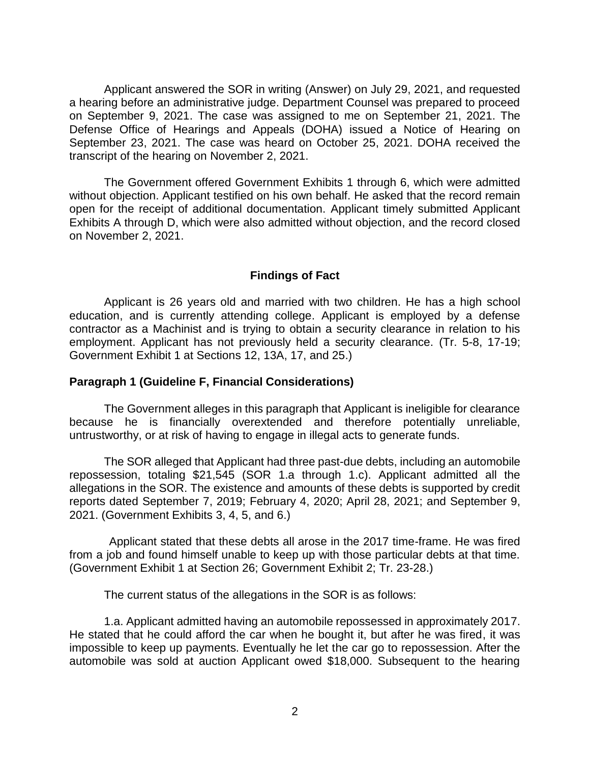Applicant answered the SOR in writing (Answer) on July 29, 2021, and requested a hearing before an administrative judge. Department Counsel was prepared to proceed on September 9, 2021. The case was assigned to me on September 21, 2021. The Defense Office of Hearings and Appeals (DOHA) issued a Notice of Hearing on September 23, 2021. The case was heard on October 25, 2021. DOHA received the transcript of the hearing on November 2, 2021.

 without objection. Applicant testified on his own behalf. He asked that the record remain open for the receipt of additional documentation. Applicant timely submitted Applicant Exhibits A through D, which were also admitted without objection, and the record closed The Government offered Government Exhibits 1 through 6, which were admitted on November 2, 2021.

### **Findings of Fact**

 Applicant is 26 years old and married with two children. He has a high school education, and is currently attending college. Applicant is employed by a defense contractor as a Machinist and is trying to obtain a security clearance in relation to his employment. Applicant has not previously held a security clearance. (Tr. 5-8, 17-19; Government Exhibit 1 at Sections 12, 13A, 17, and 25.)

#### **Paragraph 1 (Guideline F, Financial Considerations)**

 The Government alleges in this paragraph that Applicant is ineligible for clearance because he is financially overextended and therefore potentially unreliable, untrustworthy, or at risk of having to engage in illegal acts to generate funds.

 repossession, totaling \$21,545 (SOR 1.a through 1.c). Applicant admitted all the allegations in the SOR. The existence and amounts of these debts is supported by credit The SOR alleged that Applicant had three past-due debts, including an automobile reports dated September 7, 2019; February 4, 2020; April 28, 2021; and September 9, 2021. (Government Exhibits 3, 4, 5, and 6.)

 Applicant stated that these debts all arose in the 2017 time-frame. He was fired from a job and found himself unable to keep up with those particular debts at that time. (Government Exhibit 1 at Section 26; Government Exhibit 2; Tr. 23-28.)

The current status of the allegations in the SOR is as follows:

 1.a. Applicant admitted having an automobile repossessed in approximately 2017. He stated that he could afford the car when he bought it, but after he was fired, it was impossible to keep up payments. Eventually he let the car go to repossession. After the automobile was sold at auction Applicant owed \$18,000. Subsequent to the hearing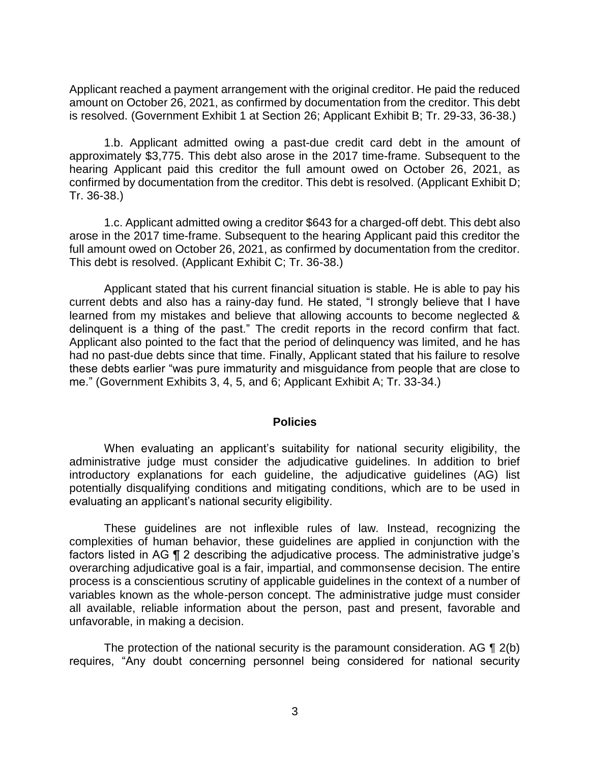Applicant reached a payment arrangement with the original creditor. He paid the reduced amount on October 26, 2021, as confirmed by documentation from the creditor. This debt is resolved. (Government Exhibit 1 at Section 26; Applicant Exhibit B; Tr. 29-33, 36-38.)

 1.b. Applicant admitted owing a past-due credit card debt in the amount of approximately \$3,775. This debt also arose in the 2017 time-frame. Subsequent to the hearing Applicant paid this creditor the full amount owed on October 26, 2021, as confirmed by documentation from the creditor. This debt is resolved. (Applicant Exhibit D; Tr. 36-38.)

 1.c. Applicant admitted owing a creditor \$643 for a charged-off debt. This debt also arose in the 2017 time-frame. Subsequent to the hearing Applicant paid this creditor the full amount owed on October 26, 2021, as confirmed by documentation from the creditor. This debt is resolved. (Applicant Exhibit C; Tr. 36-38.)

 Applicant stated that his current financial situation is stable. He is able to pay his current debts and also has a rainy-day fund. He stated, "I strongly believe that I have learned from my mistakes and believe that allowing accounts to become neglected & delinquent is a thing of the past." The credit reports in the record confirm that fact. Applicant also pointed to the fact that the period of delinquency was limited, and he has had no past-due debts since that time. Finally, Applicant stated that his failure to resolve these debts earlier "was pure immaturity and misguidance from people that are close to me." (Government Exhibits 3, 4, 5, and 6; Applicant Exhibit A; Tr. 33-34.)

#### **Policies**

 When evaluating an applicant's suitability for national security eligibility, the administrative judge must consider the adjudicative guidelines. In addition to brief potentially disqualifying conditions and mitigating conditions, which are to be used in introductory explanations for each guideline, the adjudicative guidelines (AG) list evaluating an applicant's national security eligibility.

 These guidelines are not inflexible rules of law. Instead, recognizing the complexities of human behavior, these guidelines are applied in conjunction with the factors listed in AG ¶ 2 describing the adjudicative process. The administrative judge's overarching adjudicative goal is a fair, impartial, and commonsense decision. The entire variables known as the whole-person concept. The administrative judge must consider all available, reliable information about the person, past and present, favorable and process is a conscientious scrutiny of applicable guidelines in the context of a number of unfavorable, in making a decision.

The protection of the national security is the paramount consideration. AG  $\P$  2(b) requires, "Any doubt concerning personnel being considered for national security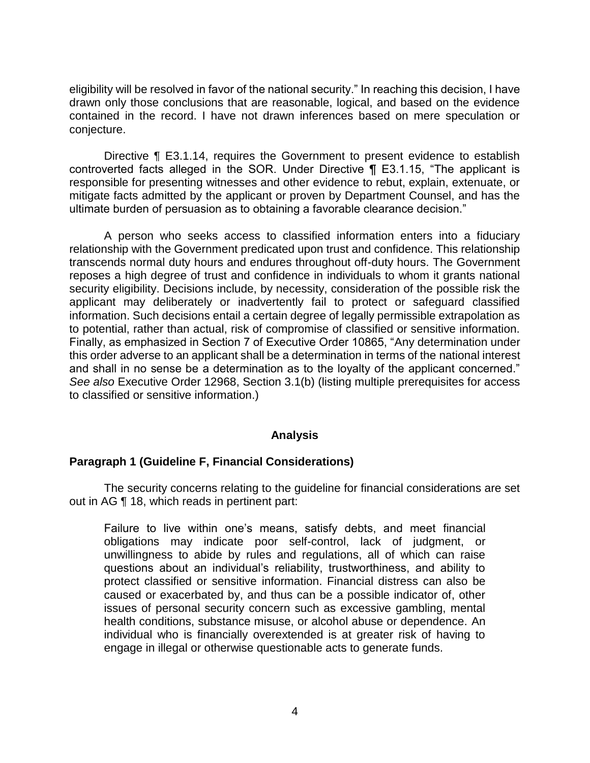eligibility will be resolved in favor of the national security." In reaching this decision, I have drawn only those conclusions that are reasonable, logical, and based on the evidence contained in the record. I have not drawn inferences based on mere speculation or conjecture.

Directive ¶ E3.1.14, requires the Government to present evidence to establish controverted facts alleged in the SOR. Under Directive ¶ E3.1.15, "The applicant is responsible for presenting witnesses and other evidence to rebut, explain, extenuate, or mitigate facts admitted by the applicant or proven by Department Counsel, and has the ultimate burden of persuasion as to obtaining a favorable clearance decision."

A person who seeks access to classified information enters into a fiduciary relationship with the Government predicated upon trust and confidence. This relationship transcends normal duty hours and endures throughout off-duty hours. The Government reposes a high degree of trust and confidence in individuals to whom it grants national security eligibility. Decisions include, by necessity, consideration of the possible risk the applicant may deliberately or inadvertently fail to protect or safeguard classified information. Such decisions entail a certain degree of legally permissible extrapolation as to potential, rather than actual, risk of compromise of classified or sensitive information. Finally, as emphasized in Section 7 of Executive Order 10865, "Any determination under this order adverse to an applicant shall be a determination in terms of the national interest and shall in no sense be a determination as to the loyalty of the applicant concerned." *See also* Executive Order 12968, Section 3.1(b) (listing multiple prerequisites for access to classified or sensitive information.)

## **Analysis**

## **Paragraph 1 (Guideline F, Financial Considerations)**

 The security concerns relating to the guideline for financial considerations are set out in AG ¶ 18, which reads in pertinent part:

Failure to live within one's means, satisfy debts, and meet financial obligations may indicate poor self-control, lack of judgment, or unwillingness to abide by rules and regulations, all of which can raise questions about an individual's reliability, trustworthiness, and ability to protect classified or sensitive information. Financial distress can also be caused or exacerbated by, and thus can be a possible indicator of, other issues of personal security concern such as excessive gambling, mental health conditions, substance misuse, or alcohol abuse or dependence. An individual who is financially overextended is at greater risk of having to engage in illegal or otherwise questionable acts to generate funds.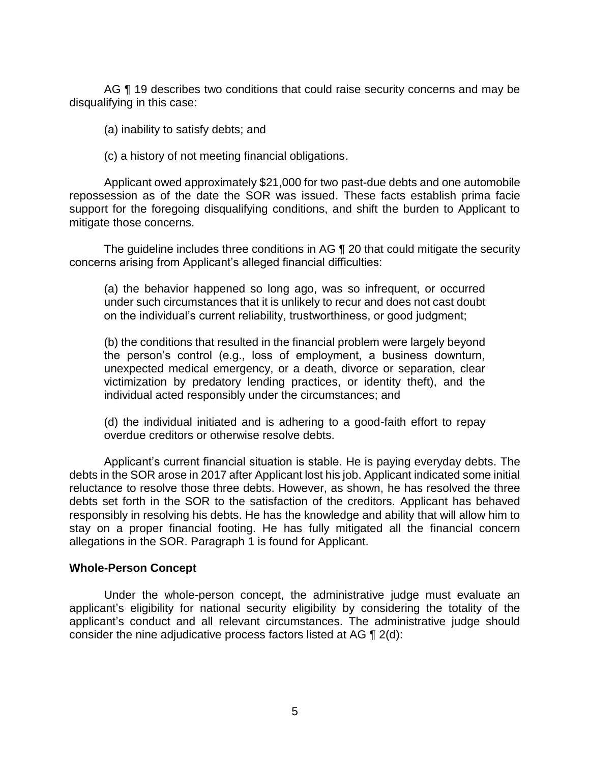AG ¶ 19 describes two conditions that could raise security concerns and may be disqualifying in this case:

(a) inability to satisfy debts; and

(c) a history of not meeting financial obligations.

 repossession as of the date the SOR was issued. These facts establish prima facie support for the foregoing disqualifying conditions, and shift the burden to Applicant to Applicant owed approximately \$21,000 for two past-due debts and one automobile mitigate those concerns.

The guideline includes three conditions in AG ¶ 20 that could mitigate the security concerns arising from Applicant's alleged financial difficulties:

(a) the behavior happened so long ago, was so infrequent, or occurred under such circumstances that it is unlikely to recur and does not cast doubt on the individual's current reliability, trustworthiness, or good judgment;

(b) the conditions that resulted in the financial problem were largely beyond the person's control (e.g., loss of employment, a business downturn, unexpected medical emergency, or a death, divorce or separation, clear victimization by predatory lending practices, or identity theft), and the individual acted responsibly under the circumstances; and

 (d) the individual initiated and is adhering to a good-faith effort to repay overdue creditors or otherwise resolve debts.

 Applicant's current financial situation is stable. He is paying everyday debts. The debts in the SOR arose in 2017 after Applicant lost his job. Applicant indicated some initial reluctance to resolve those three debts. However, as shown, he has resolved the three debts set forth in the SOR to the satisfaction of the creditors. Applicant has behaved responsibly in resolving his debts. He has the knowledge and ability that will allow him to stay on a proper financial footing. He has fully mitigated all the financial concern allegations in the SOR. Paragraph 1 is found for Applicant.

#### **Whole-Person Concept**

 Under the whole-person concept, the administrative judge must evaluate an applicant's eligibility for national security eligibility by considering the totality of the applicant's conduct and all relevant circumstances. The administrative judge should consider the nine adjudicative process factors listed at AG ¶ 2(d):